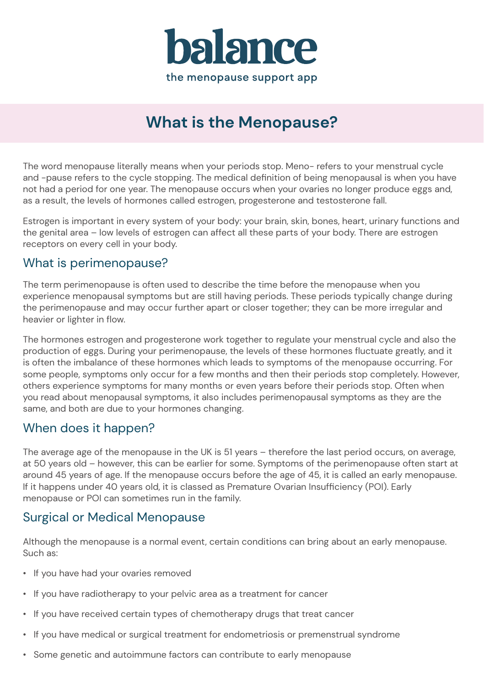

# **What is the Menopause?**

The word menopause literally means when your periods stop. Meno- refers to your menstrual cycle and -pause refers to the cycle stopping. The medical definition of being menopausal is when you have not had a period for one year. The menopause occurs when your ovaries no longer produce eggs and, as a result, the levels of hormones called estrogen, progesterone and testosterone fall.

Estrogen is important in every system of your body: your brain, skin, bones, heart, urinary functions and the genital area – low levels of estrogen can affect all these parts of your body. There are estrogen receptors on every cell in your body.

#### What is perimenopause?

The term perimenopause is often used to describe the time before the menopause when you experience menopausal symptoms but are still having periods. These periods typically change during the perimenopause and may occur further apart or closer together; they can be more irregular and heavier or lighter in flow.

The hormones estrogen and progesterone work together to regulate your menstrual cycle and also the production of eggs. During your perimenopause, the levels of these hormones fluctuate greatly, and it is often the imbalance of these hormones which leads to symptoms of the menopause occurring. For some people, symptoms only occur for a few months and then their periods stop completely. However, others experience symptoms for many months or even years before their periods stop. Often when you read about menopausal symptoms, it also includes perimenopausal symptoms as they are the same, and both are due to your hormones changing.

### When does it happen?

The average age of the menopause in the UK is 51 years – therefore the last period occurs, on average, at 50 years old – however, this can be earlier for some. Symptoms of the perimenopause often start at around 45 years of age. If the menopause occurs before the age of 45, it is called an early menopause. If it happens under 40 years old, it is classed as Premature Ovarian Insufficiency (POI). Early menopause or POI can sometimes run in the family.

### Surgical or Medical Menopause

Although the menopause is a normal event, certain conditions can bring about an early menopause. Such as:

- If you have had your ovaries removed
- If you have radiotherapy to your pelvic area as a treatment for cancer
- If you have received certain types of chemotherapy drugs that treat cancer
- If you have medical or surgical treatment for endometriosis or premenstrual syndrome
- Some genetic and autoimmune factors can contribute to early menopause